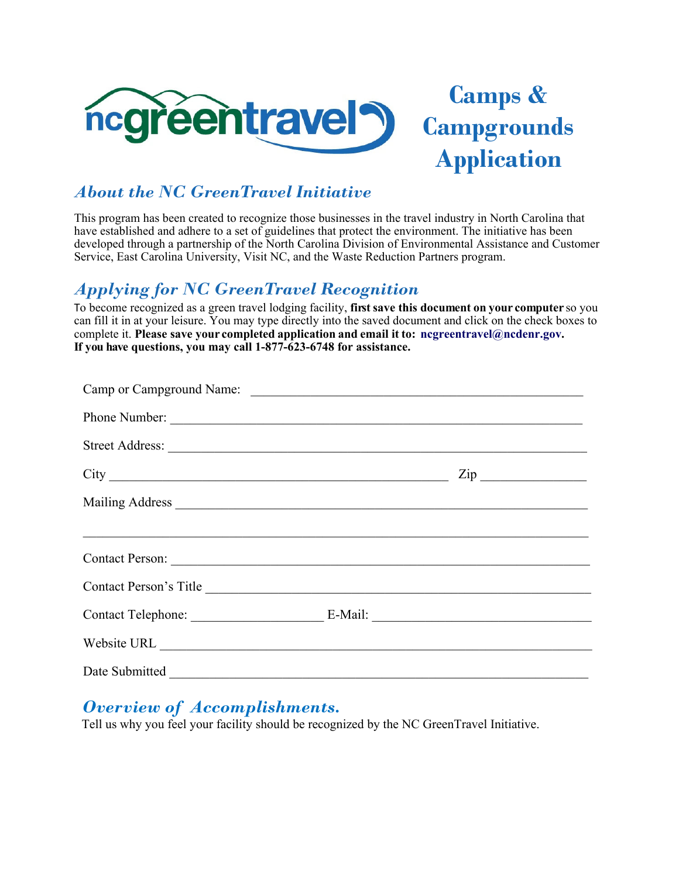

# **Camps & Campgrounds Application**

#### *About the NC GreenTravel Initiative*

This program has been created to recognize those businesses in the travel industry in North Carolina that have established and adhere to a set of guidelines that protect the environment. The initiative has been developed through a partnership of the North Carolina Division of Environmental Assistance and Customer Service, East Carolina University, Visit NC, and the Waste Reduction Partners program.

#### *Applying for NC GreenTravel Recognition*

To become recognized as a green travel lodging facility, **first save this document on your computer** so you can fill it in at your leisure. You may type directly into the saved document and click on the check boxes to complete it. **Please save your completed application and email it to: ncgreentravel@ncdenr.gov. If you have questions, you may call 1-877-623-6748 for assistance.** 

| Phone Number:                                                                     |  |                  |
|-----------------------------------------------------------------------------------|--|------------------|
|                                                                                   |  |                  |
|                                                                                   |  | $\mathsf{Zip}\_$ |
|                                                                                   |  |                  |
| ,我们也不能会有什么。""我们的人,我们也不能会有什么?""我们的人,我们也不能会有什么?""我们的人,我们也不能会有什么?""我们的人,我们也不能会有什么?"" |  |                  |
| Contact Person:                                                                   |  |                  |
| Contact Person's Title                                                            |  |                  |
|                                                                                   |  |                  |
|                                                                                   |  |                  |
| Date Submitted                                                                    |  |                  |

#### *Overview of Accomplishments.*

Tell us why you feel your facility should be recognized by the NC GreenTravel Initiative.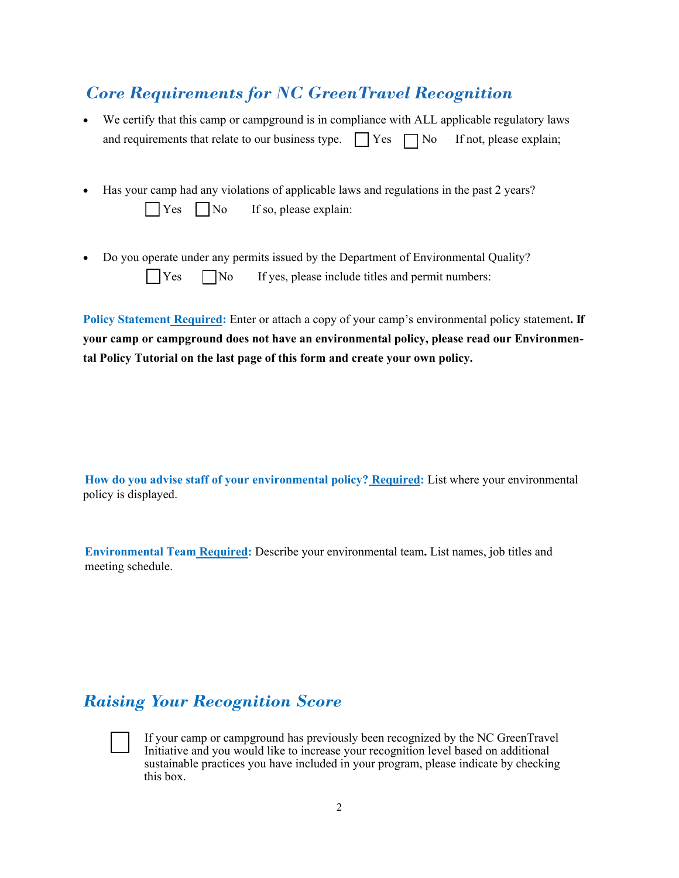### *Core Requirements for NC GreenTravel Recognition*

 We certify that this camp or campground is in compliance with ALL applicable regulatory laws and requirements that relate to our business type.  $\Box$  Yes  $\Box$  No If not, please explain;

|  | • Has your camp had any violations of applicable laws and regulations in the past 2 years? |
|--|--------------------------------------------------------------------------------------------|
|  | $\bigcap$ Yes $\bigcap$ No If so, please explain:                                          |

 Do you operate under any permits issued by the Department of Environmental Quality? Yes No If yes, please include titles and permit numbers:

**Policy Statement Required:** Enter or attach a copy of your camp's environmental policy statement**. If your camp or campground does not have an environmental policy, please read our Environmental Policy Tutorial on the last page of this form and create your own policy.**

**How do you advise staff of your environmental policy? Required:** List where your environmental policy is displayed.

**Environmental Team Required:** Describe your environmental team**.** List names, job titles and meeting schedule.

#### *Raising Your Recognition Score*



 If your camp or campground has previously been recognized by the NC GreenTravel Initiative and you would like to increase your recognition level based on additional sustainable practices you have included in your program, please indicate by checking this box.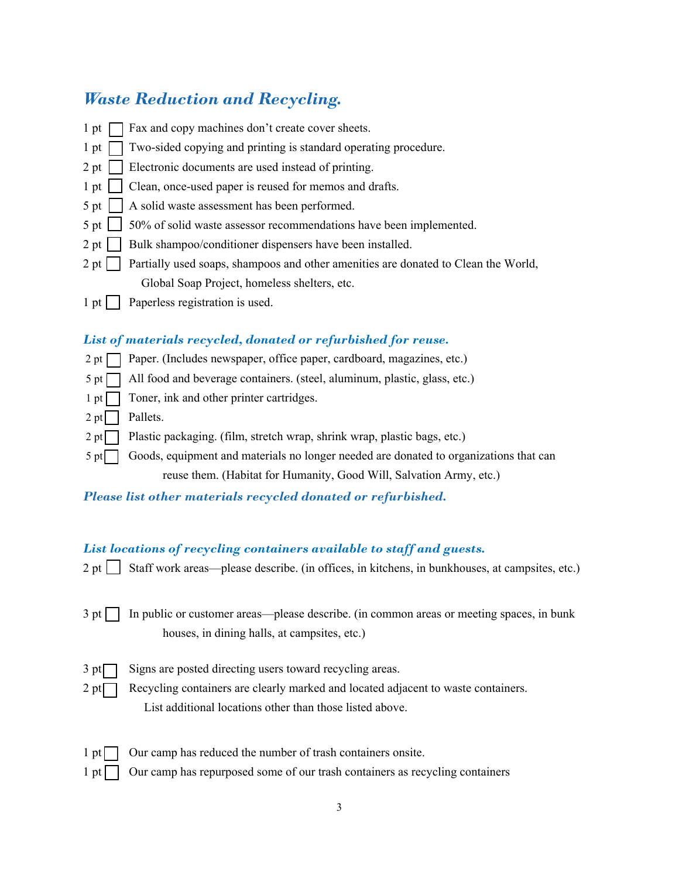### *Waste Reduction and Recycling.*

| $1$ pt                | Fax and copy machines don't create cover sheets.                                   |
|-----------------------|------------------------------------------------------------------------------------|
| $1$ pt                | Two-sided copying and printing is standard operating procedure.                    |
| 2 pt                  | Electronic documents are used instead of printing.                                 |
|                       | 1 pt     Clean, once-used paper is reused for memos and drafts.                    |
|                       | 5 pt     A solid waste assessment has been performed.                              |
|                       | 5 pt 1 50% of solid waste assessor recommendations have been implemented.          |
|                       | 2 pt     Bulk shampoo/conditioner dispensers have been installed.                  |
| $2$ pt $\vert$        | Partially used soaps, shampoos and other amenities are donated to Clean the World, |
|                       | Global Soap Project, homeless shelters, etc.                                       |
| $1$ pt $\overline{)}$ | Paperless registration is used.                                                    |

#### *List of materials recycled, donated or refurbished for reuse.*



- $2 \text{ pt}$  Plastic packaging. (film, stretch wrap, shrink wrap, plastic bags, etc.)
- $5 \text{ pt}$  Goods, equipment and materials no longer needed are donated to organizations that can reuse them. (Habitat for Humanity, Good Will, Salvation Army, etc.)

*Please list other materials recycled donated or refurbished.* 

#### *List locations of recycling containers available to staff and guests.*

 $2 \text{ pt} \Box$  Staff work areas—please describe. (in offices, in kitchens, in bunkhouses, at campsites, etc.)

|                                              | $3$ pt $\Box$ In public or customer areas—please describe. (in common areas or meeting spaces, in bunk |
|----------------------------------------------|--------------------------------------------------------------------------------------------------------|
| houses, in dining halls, at campsites, etc.) |                                                                                                        |

 $3 \text{ pt}$  Signs are posted directing users toward recycling areas.

 $2 \text{ pt}$  Recycling containers are clearly marked and located adjacent to waste containers. List additional locations other than those listed above.

- $1 pt$  Our camp has reduced the number of trash containers onsite.
- $1 \text{ pt}$  Our camp has repurposed some of our trash containers as recycling containers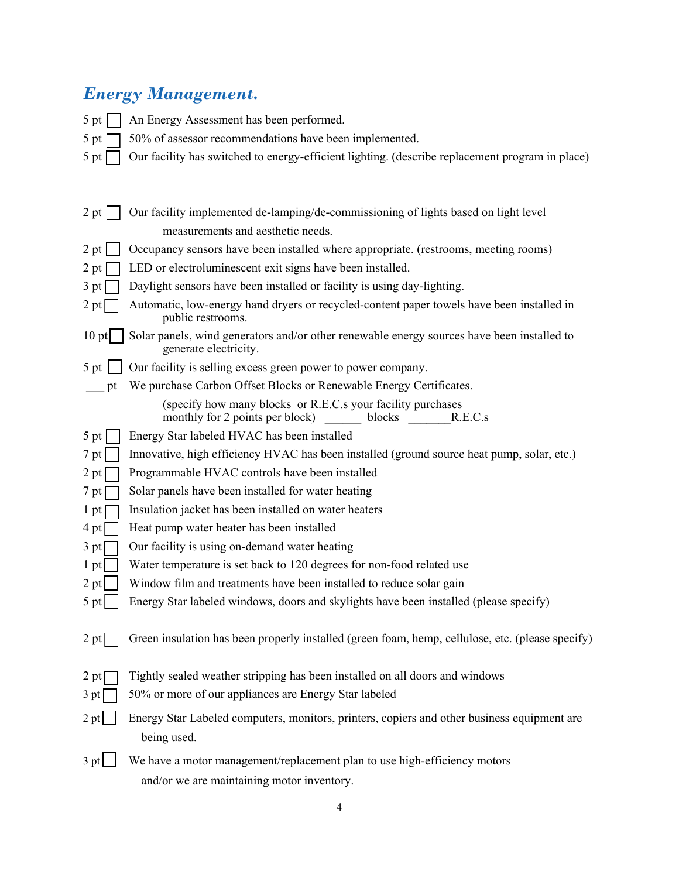## *Energy Management.*

- 5 pt  $\Box$  An Energy Assessment has been performed.
- 5 pt  $\Box$  50% of assessor recommendations have been implemented.
- 5 pt  $\Box$  Our facility has switched to energy-efficient lighting. (describe replacement program in place)

| 2 pt    | Our facility implemented de-lamping/de-commissioning of lights based on light level                                 |
|---------|---------------------------------------------------------------------------------------------------------------------|
|         | measurements and aesthetic needs.                                                                                   |
| 2 pt    | Occupancy sensors have been installed where appropriate. (restrooms, meeting rooms)                                 |
| 2 pt    | LED or electroluminescent exit signs have been installed.                                                           |
| 3 pt    | Daylight sensors have been installed or facility is using day-lighting.                                             |
| 2 pt    | Automatic, low-energy hand dryers or recycled-content paper towels have been installed in<br>public restrooms.      |
| $10$ pt | Solar panels, wind generators and/or other renewable energy sources have been installed to<br>generate electricity. |
| $5$ pt  | Our facility is selling excess green power to power company.                                                        |
| pt      | We purchase Carbon Offset Blocks or Renewable Energy Certificates.                                                  |
|         | (specify how many blocks or R.E.C.s your facility purchases<br>monthly for 2 points per block)<br>blocks<br>R.E.C.s |
| 5 pt    | Energy Star labeled HVAC has been installed                                                                         |
| 7 pt    | Innovative, high efficiency HVAC has been installed (ground source heat pump, solar, etc.)                          |
| 2 pt    | Programmable HVAC controls have been installed                                                                      |
| 7 pt    | Solar panels have been installed for water heating                                                                  |
| 1 pt    | Insulation jacket has been installed on water heaters                                                               |
| 4 pt    | Heat pump water heater has been installed                                                                           |
| 3 pt    | Our facility is using on-demand water heating                                                                       |
| 1 pt    | Water temperature is set back to 120 degrees for non-food related use                                               |
| 2 pt    | Window film and treatments have been installed to reduce solar gain                                                 |
| 5 pt    | Energy Star labeled windows, doors and skylights have been installed (please specify)                               |
| $2$ pt  | Green insulation has been properly installed (green foam, hemp, cellulose, etc. (please specify)                    |
| 2 pt    | Tightly sealed weather stripping has been installed on all doors and windows                                        |
| 3 pt    | 50% or more of our appliances are Energy Star labeled                                                               |
| 2 pt    | Energy Star Labeled computers, monitors, printers, copiers and other business equipment are                         |
|         | being used.                                                                                                         |
| 3 pt    | We have a motor management/replacement plan to use high-efficiency motors                                           |
|         | and/or we are maintaining motor inventory.                                                                          |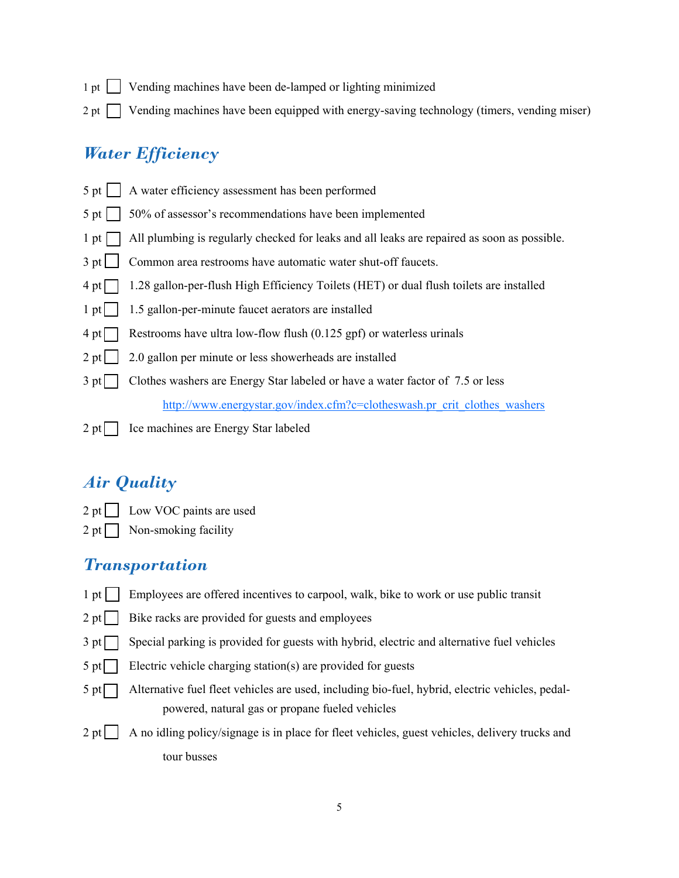- $1$  pt  $\Box$  Vending machines have been de-lamped or lighting minimized
- $2 \text{ pt}$  Vending machines have been equipped with energy-saving technology (timers, vending miser)

#### *Water Efficiency*

 $5$  pt  $\Box$  A water efficiency assessment has been performed  $5 \text{ pt } 50\%$  of assessor's recommendations have been implemented 1 pt  $\Box$  All plumbing is regularly checked for leaks and all leaks are repaired as soon as possible. 3 pt **Common** area restrooms have automatic water shut-off faucets. 4 pt 1.28 gallon-per-flush High Efficiency Toilets (HET) or dual flush toilets are installed  $1 \text{ pt}$  1.5 gallon-per-minute faucet aerators are installed  $4 \text{ pt}$  Restrooms have ultra low-flow flush (0.125 gpf) or waterless urinals  $2 \text{ pt } 2.0$  gallon per minute or less showerheads are installed 3 pt Clothes washers are Energy Star labeled or have a water factor of 7.5 or less http://www.energystar.gov/index.cfm?c=clotheswash.pr\_crit\_clothes\_washers  $2 pt$  Ice machines are Energy Star labeled

#### *Air Quality*

- 2 pt | Low VOC paints are used
- $2 pt$  Non-smoking facility

#### *Transportation*

- 1 pt **Employees are offered incentives to carpool, walk, bike to work or use public transit**
- $2 \text{ pt}$  | Bike racks are provided for guests and employees
- $3$  pt  $\Box$  Special parking is provided for guests with hybrid, electric and alternative fuel vehicles
- $5$  pt  $\vert$  Electric vehicle charging station(s) are provided for guests
- 5 pt Alternative fuel fleet vehicles are used, including bio-fuel, hybrid, electric vehicles, pedalpowered, natural gas or propane fueled vehicles
- 2 pt A no idling policy/signage is in place for fleet vehicles, guest vehicles, delivery trucks and tour busses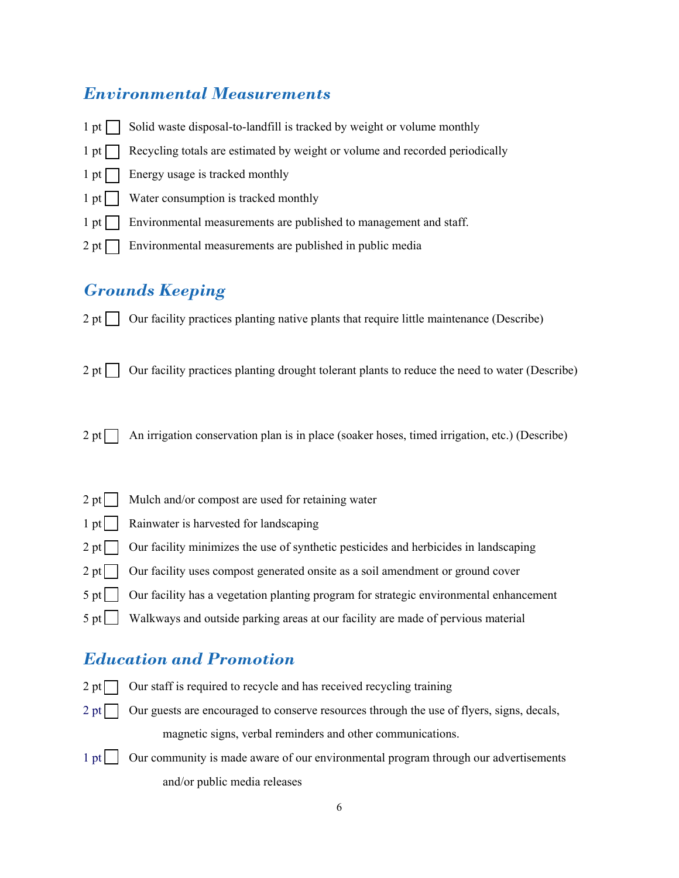#### *Environmental Measurements*

 $1$  pt  $\Box$  Solid waste disposal-to-landfill is tracked by weight or volume monthly  $1 \text{ pt}$  Recycling totals are estimated by weight or volume and recorded periodically  $1$  pt  $\Box$  Energy usage is tracked monthly 1 pt | Water consumption is tracked monthly 1 pt **Environmental measurements are published to management and staff.**  $2$  pt  $\Box$  Environmental measurements are published in public media

### *Grounds Keeping*

- 2 pt  $\Box$  Our facility practices planting native plants that require little maintenance (Describe)
- 2 pt  $\Box$  Our facility practices planting drought tolerant plants to reduce the need to water (Describe)
- 2 pt  $\Box$  An irrigation conservation plan is in place (soaker hoses, timed irrigation, etc.) (Describe)
- 2 pt  $\Box$  Mulch and/or compost are used for retaining water 1 pt | Rainwater is harvested for landscaping 2 pt Our facility minimizes the use of synthetic pesticides and herbicides in landscaping 2 pt | Our facility uses compost generated onsite as a soil amendment or ground cover  $5$  pt  $\vert$  Our facility has a vegetation planting program for strategic environmental enhancement 5 pt Walkways and outside parking areas at our facility are made of pervious material

#### *Education and Promotion*

- 
- $2 \text{ pt}$  Our staff is required to recycle and has received recycling training
- $2 \text{ pt}$  Our guests are encouraged to conserve resources through the use of flyers, signs, decals, magnetic signs, verbal reminders and other communications.
- 1 pt | Our community is made aware of our environmental program through our advertisements and/or public media releases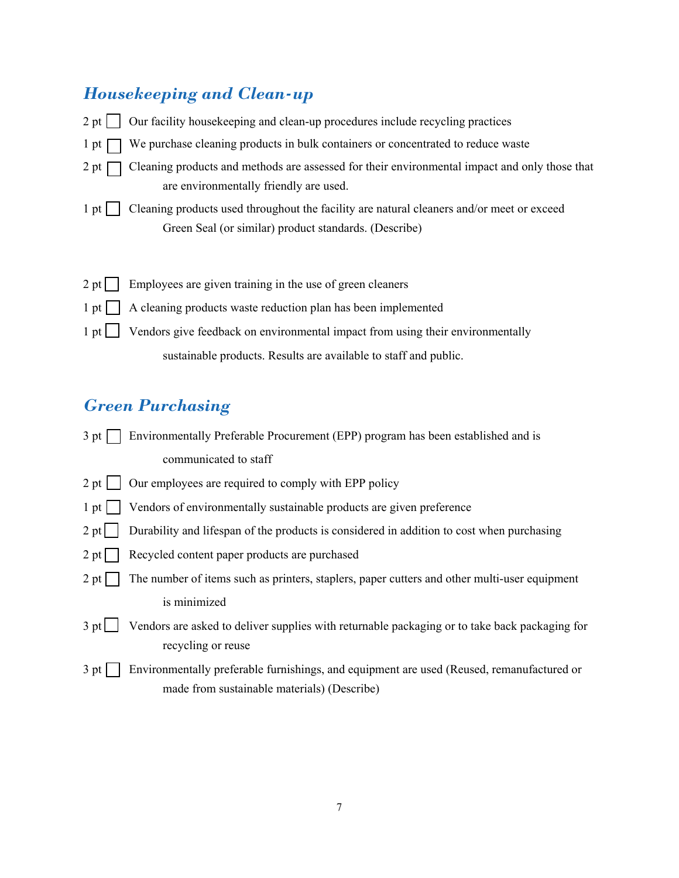## *Housekeeping and Clean-up*

| 2 pt            | Our facility housekeeping and clean-up procedures include recycling practices                                                                      |
|-----------------|----------------------------------------------------------------------------------------------------------------------------------------------------|
| 1 pt            | We purchase cleaning products in bulk containers or concentrated to reduce waste                                                                   |
| 2 pt            | Cleaning products and methods are assessed for their environmental impact and only those that<br>are environmentally friendly are used.            |
| $1$ pt $\prime$ | Cleaning products used throughout the facility are natural cleaners and/or meet or exceed<br>Green Seal (or similar) product standards. (Describe) |
| 2 pt            | Employees are given training in the use of green cleaners                                                                                          |
| $1$ pt $ $      | A cleaning products waste reduction plan has been implemented                                                                                      |
| $1$ pt          | Vendors give feedback on environmental impact from using their environmentally                                                                     |
|                 | sustainable products. Results are available to staff and public.                                                                                   |

## *Green Purchasing*

| $3$ pt         | Environmentally Preferable Procurement (EPP) program has been established and is                                                         |
|----------------|------------------------------------------------------------------------------------------------------------------------------------------|
|                | communicated to staff                                                                                                                    |
| $2 pt$         | Our employees are required to comply with EPP policy                                                                                     |
| $1$ pt $\vert$ | Vendors of environmentally sustainable products are given preference                                                                     |
| 2 pt           | Durability and lifespan of the products is considered in addition to cost when purchasing                                                |
| 2 pt           | Recycled content paper products are purchased                                                                                            |
| $2 pt \Box$    | The number of items such as printers, staplers, paper cutters and other multi-user equipment                                             |
|                | is minimized                                                                                                                             |
| 3 pt           | Vendors are asked to deliver supplies with returnable packaging or to take back packaging for<br>recycling or reuse                      |
| $3$ pt         | Environmentally preferable furnishings, and equipment are used (Reused, remanufactured or<br>made from sustainable materials) (Describe) |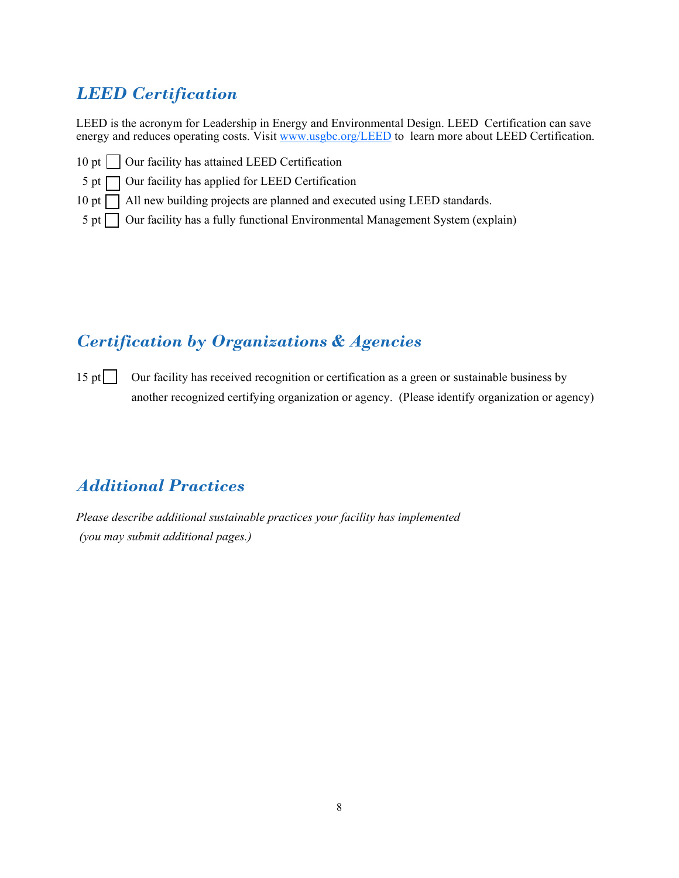## *LEED Certification*

LEED is the acronym for Leadership in Energy and Environmental Design. LEED Certification can save energy and reduces operating costs. Visit www.usgbc.org/LEED to learn more about LEED Certification.

- 10 pt  $\Box$  Our facility has attained LEED Certification
- $5$  pt  $\Box$  Our facility has applied for LEED Certification
- 10 pt  $\Box$  All new building projects are planned and executed using LEED standards.
- $5$  pt  $\Box$  Our facility has a fully functional Environmental Management System (explain)

### *Certification by Organizations & Agencies*

15 pt  $\Box$  Our facility has received recognition or certification as a green or sustainable business by another recognized certifying organization or agency. (Please identify organization or agency)

### *Additional Practices*

*Please describe additional sustainable practices your facility has implemented (you may submit additional pages.)*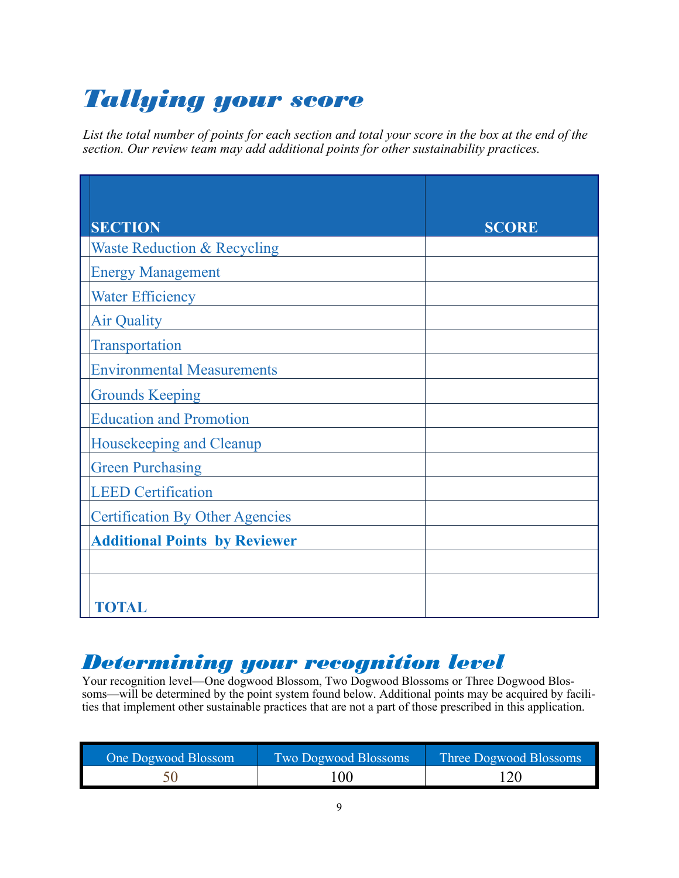# *Tallying your score*

*List the total number of points for each section and total your score in the box at the end of the section. Our review team may add additional points for other sustainability practices.*

| <b>SECTION</b>                         | <b>SCORE</b> |
|----------------------------------------|--------------|
| <b>Waste Reduction &amp; Recycling</b> |              |
| <b>Energy Management</b>               |              |
| <b>Water Efficiency</b>                |              |
| <b>Air Quality</b>                     |              |
| Transportation                         |              |
| <b>Environmental Measurements</b>      |              |
| <b>Grounds Keeping</b>                 |              |
| <b>Education and Promotion</b>         |              |
| Housekeeping and Cleanup               |              |
| <b>Green Purchasing</b>                |              |
| <b>LEED Certification</b>              |              |
| <b>Certification By Other Agencies</b> |              |
| <b>Additional Points by Reviewer</b>   |              |
|                                        |              |
|                                        |              |
| <b>FOTAL</b>                           |              |

# *Determining your recognition level*

Your recognition level—One dogwood Blossom, Two Dogwood Blossoms or Three Dogwood Blossoms—will be determined by the point system found below. Additional points may be acquired by facilities that implement other sustainable practices that are not a part of those prescribed in this application.

| One Dogwood Blossom | Two Dogwood Blossoms | Three Dogwood Blossoms |
|---------------------|----------------------|------------------------|
|                     | 00                   |                        |